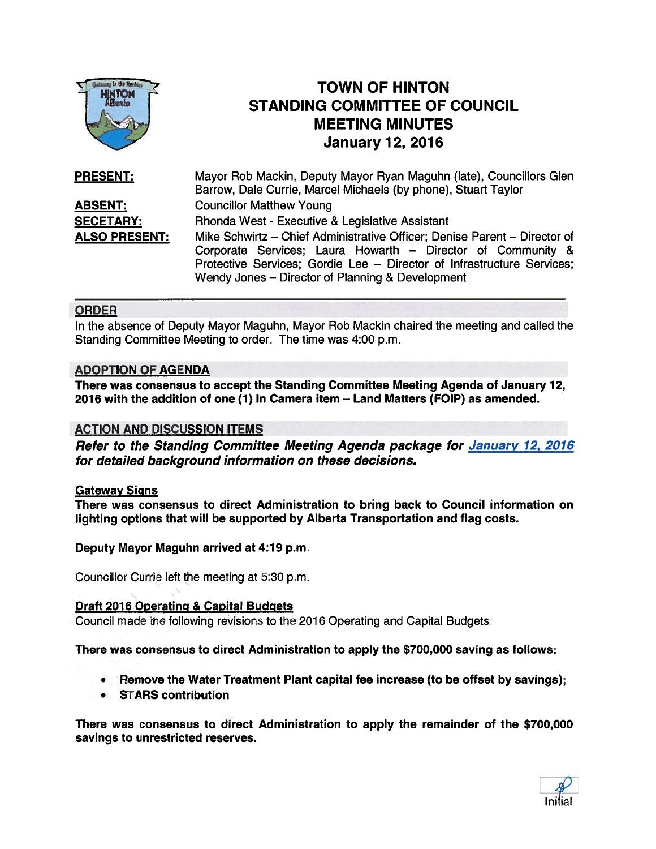

# TOWN OF HINTON STANDING COMMITTEE OF COUNCIL MEETING MINUTES January 12, 2016

| <b>PRESENT:</b>      | Mayor Rob Mackin, Deputy Mayor Ryan Maguhn (late), Councillors Glen<br>Barrow, Dale Currie, Marcel Michaels (by phone), Stuart Taylor                                                                                                                                  |
|----------------------|------------------------------------------------------------------------------------------------------------------------------------------------------------------------------------------------------------------------------------------------------------------------|
| <b>ABSENT:</b>       | <b>Councillor Matthew Young</b>                                                                                                                                                                                                                                        |
| <b>SECETARY:</b>     | Rhonda West - Executive & Legislative Assistant                                                                                                                                                                                                                        |
| <b>ALSO PRESENT:</b> | Mike Schwirtz - Chief Administrative Officer; Denise Parent - Director of<br>Corporate Services; Laura Howarth - Director of Community &<br>Protective Services; Gordie Lee - Director of Infrastructure Services;<br>Wendy Jones - Director of Planning & Development |

## ORDER

In the absence of Deputy Mayor Maguhn, Mayor Rob Mackin chaired the meeting and called the Standing Committee Meeting to order. The time was 4:00 p.m.

#### ADOPTION OF AGENDA

There was consensus to accep<sup>t</sup> the Standing Committee Meeting Agenda of January 12, 2016 with the addition of one (1) In Camera item — Land Matters (FOIP) as amended.

# ACTION AND DISCUSSION ITEMS

Refer to the Standing Committee Meeting Agenda package for January 12, 2016 for detailed background information on these decisions.

#### Gateway Signs

There was consensus to direct Administration to bring back to Council information on lighting options that will be supported by Alberta Transportation and flag costs.

Deputy Mayor Maguhn arrived at 4:19 p.m.

Counci!lor Currie left the meeting at 5:30 p.m.

#### Draft 2016 Operating & Capital Budgets

Council made the following revisions to the 2016 Operating and Capital Budgets:

There was consensus to direct Administration to apply the \$700,000 saving as follows:

- •Remove the Water Treatment Plant capital fee increase (to be offset by savings);
- STARS contribution

There was consensus to direct Administration to apply the remainder of the \$700,000 savings to unrestricted reserves.